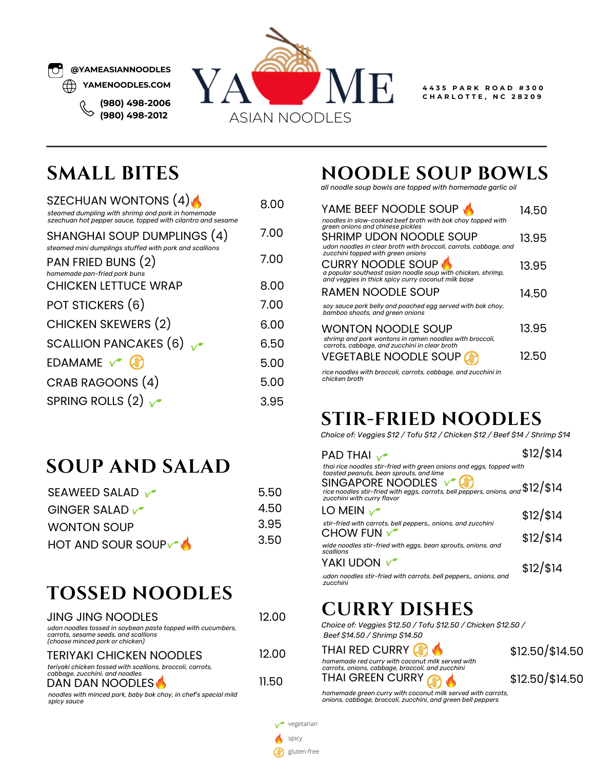

**(980) 498-2006 (980) 498-2012**



**4 4 3 5 P A R K R O A D # 3 0 0 C H A R L O T T E , N C 2 8 2 0 9**

#### **SMALL BITES**

| SZECHUAN WONTONS (4)<br>steamed dumpling with shrimp and pork in homemade<br>szechuan hot pepper sauce, topped with cilantro and sesame | 8 OO |
|-----------------------------------------------------------------------------------------------------------------------------------------|------|
| SHANGHAI SOUP DUMPLINGS (4)                                                                                                             | 7.00 |
| steamed mini dumplings stuffed with pork and scallions<br>PAN FRIED BUNS (2)<br>homemade pan-fried pork buns                            | 7.00 |
| <b>CHICKEN LETTUCE WRAP</b>                                                                                                             | 8.00 |
| POT STICKERS (6)                                                                                                                        | 7.00 |
| <b>CHICKEN SKEWERS (2)</b>                                                                                                              | 6.00 |
| SCALLION PANCAKES $(6)$                                                                                                                 | 6.50 |
| EDAMAME $\sqrt{\frac{2}{3}}$                                                                                                            | 5.00 |
| CRAB RAGOONS (4)                                                                                                                        | 5.00 |
| SPRING ROLLS $(2)$                                                                                                                      | 3.95 |

#### **SOUP AND SALAD**

| SEAWEED SALAD            | 5.50 |
|--------------------------|------|
| GINGER SALAD $\sqrt{\ }$ | 4.50 |
| <b>WONTON SOUP</b>       | 3.95 |
| HOT AND SOUR SOUPV       | 3.50 |

#### **TOSSED NOODLES**

| <b>JING JING NOODLES</b>                                                                                                               | 12 OO |
|----------------------------------------------------------------------------------------------------------------------------------------|-------|
| udon noodles tossed in soybean paste topped with cucumbers,<br>carrots, sesame seeds, and scallions<br>(choose minced pork or chicken) |       |
| <b>TERIYAKI CHICKEN NOODLES</b>                                                                                                        | 12 OO |
| teriyaki chicken tossed with scallions, broccoli, carrots,<br>cabbage, zucchini, and noodles<br><b>DAN DAN NOODLES</b>                 | 11.50 |

*noodles with minced pork, baby bok choy, in chef's special mild spicy sauce*

#### **NOODLE SOUP BOWLS**

*all noodle soup bowls are topped with homemade garlic oil*

| YAME BEEF NOODLE SOUP<br>noodles in slow-cooked beef broth with bok choy topped with                                                                                 | 14.50 |
|----------------------------------------------------------------------------------------------------------------------------------------------------------------------|-------|
| green onions and chinese pickles<br>SHRIMP UDON NOODLE SOUP<br>udon noodles in clear broth with broccoli, carrots, cabbage, and<br>zucchini topped with green onions | 13.95 |
| <b>CURRY NOODLE SOUP</b><br>a popular southeast asian noodle soup with chicken, shrimp,<br>and veggies in thick spicy curry coconut milk base                        | 13.95 |
| <b>RAMEN NOODLE SOUP</b>                                                                                                                                             | 14.50 |
| soy sauce pork belly and poached egg served with bok choy,<br>bamboo shoots, and green onions                                                                        |       |
| <b>WONTON NOODLE SOUP</b><br>shrimp and pork wontons in ramen noodles with broccoli,<br>carrots, cabbage, and zucchini in clear broth                                | 13.95 |
| <b>VEGETABLE NOODLE SOUP</b>                                                                                                                                         | 12.50 |
| rice noodles with broccoli, carrots, cabbage, and zucchini in<br>chicken broth                                                                                       |       |

**STIR-FRIED NOODLES**

*Choice of: Veggies \$12 / Tofu \$12 / Chicken \$12 / Beef \$14 / Shrimp \$14*

| PAD THAI $\sqrt{\phantom{a}}$                                                                                                                                                                                             | $$12$ /\$14   |
|---------------------------------------------------------------------------------------------------------------------------------------------------------------------------------------------------------------------------|---------------|
| thai rice noodles stir-fried with green onions and eggs, topped with<br>toasted peanuts, bean sprouts, and lime<br>SINGAPORE NOODLES √<br>rice noodles stir-fried with eggs, carrots, bell peppers, onions, and \$12/\$14 |               |
| LO MEIN $\sqrt{\ }$                                                                                                                                                                                                       | $$12$ / $$14$ |
| stir-fried with carrots, bell peppers,, onions, and zucchini<br>CHOW FUN $\sqrt{\ }$                                                                                                                                      | $$12$ / $$14$ |
| wide noodles stir-fried with eggs, bean sprouts, onions, and<br>scallions                                                                                                                                                 |               |
| YAKI UDON V                                                                                                                                                                                                               | $$12$ / $$14$ |
| udon noodles stir-fried with carrots, bell peppers,, onions, and<br>zucchini                                                                                                                                              |               |

#### **CURRY DISHES**

*Choice of: Veggies \$12.50 / Tofu \$12.50 / Chicken \$12.50 / Beef \$14.50 / Shrimp \$14.50*

| THAI RED CURRY <b>8</b>                                                                              | $$12.50$ $$14.50$ |
|------------------------------------------------------------------------------------------------------|-------------------|
| homemade red curry with coconut milk served with<br>carrots, onions, cabbage, broccoli, and zucchini |                   |
| THAI GREEN CURRY                                                                                     | $$12.50$ $$14.50$ |
| homemade green curry with coconut milk served with carrots,                                          |                   |

homemade green curry with coconut milk served with carrots,<br>onions, cabbage, broccoli, zucchini, and green bell peppers

 $\checkmark$  vegetarian

spicy

gluten-free